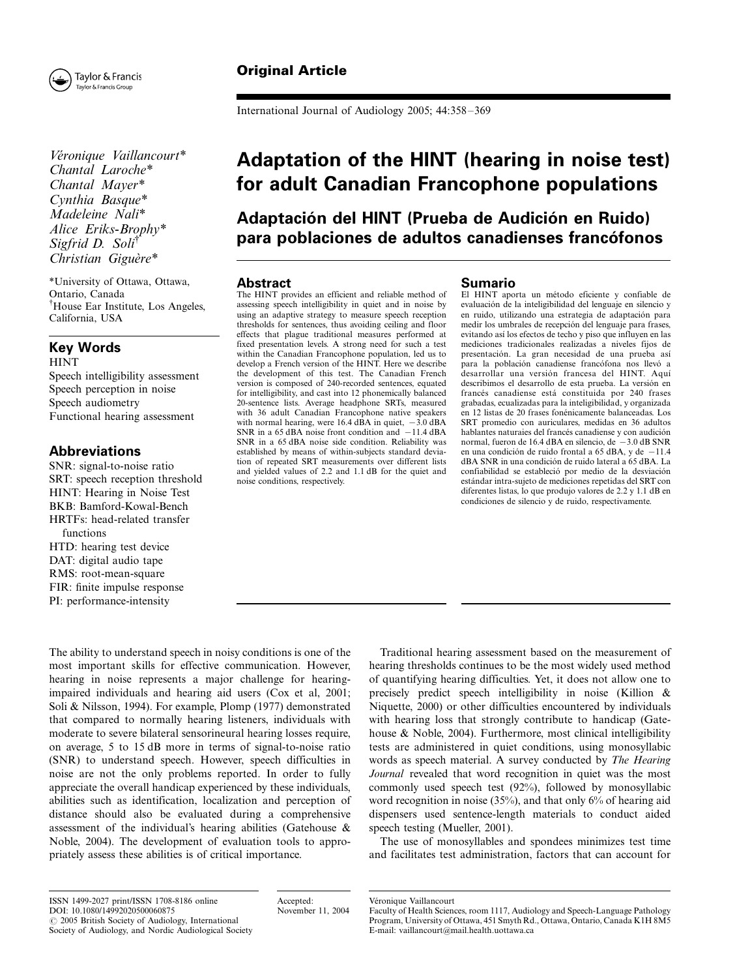

Taylor & Francis Taylor & Francis Group

Véronique Vaillancourt\* Chantal Laroche\* Chantal Mayer\* Cynthia Basque\* Madeleine Nali\* Alice Eriks-Brophy\*  $Sightid$  D. Soli<sup> $\dagger$ </sup> Christian Giguère\*

\*University of Ottawa, Ottawa, Ontario, Canada \$ House Ear Institute, Los Angeles, California, USA

## Key Words

HINT Speech intelligibility assessment Speech perception in noise

Speech audiometry Functional hearing assessment

## **Abbreviations**

SNR: signal-to-noise ratio SRT: speech reception threshold HINT: Hearing in Noise Test BKB: Bamford-Kowal-Bench HRTFs: head-related transfer functions HTD: hearing test device DAT: digital audio tape RMS: root-mean-square FIR: finite impulse response PI: performance-intensity

## **Original Article**

International Journal of Audiology  $2005$ ;  $44:358-369$ 

# Adaptation of the HINT (hearing in noise test) for adult Canadian Francophone populations

## Adaptación del HINT (Prueba de Audición en Ruido) para poblaciones de adultos canadienses francófonos

#### Abstract

The HINT provides an efficient and reliable method of assessing speech intelligibility in quiet and in noise by using an adaptive strategy to measure speech reception thresholds for sentences, thus avoiding ceiling and floor effects that plague traditional measures performed at fixed presentation levels. A strong need for such a test within the Canadian Francophone population, led us to develop a French version of the HINT. Here we describe the development of this test. The Canadian French version is composed of 240-recorded sentences, equated for intelligibility, and cast into 12 phonemically balanced 20-sentence lists. Average headphone SRTs, measured with 36 adult Canadian Francophone native speakers with normal hearing, were  $16.4$  dBA in quiet,  $-3.0$  dBA SNR in a 65 dBA noise front condition and  $-11.4$  dBA SNR in a 65 dBA noise side condition. Reliability was established by means of within-subjects standard deviation of repeated SRT measurements over different lists and yielded values of 2.2 and 1.1 dB for the quiet and noise conditions, respectively.

## Sumario

El HINT aporta un método eficiente y confiable de evaluación de la inteligibilidad del lenguaje en silencio y en ruido, utilizando una estrategia de adaptación para medir los umbrales de recepción del lenguaje para frases, evitando así los efectos de techo y piso que influyen en las mediciones tradicionales realizadas a niveles fijos de presentación. La gran necesidad de una prueba así para la población canadiense francófona nos llevó a desarrollar una versión francesa del HINT. Aquí describimos el desarrollo de esta prueba. La versión en francés canadiense está constituida por 240 frases grabadas, ecualizadas para la inteligibilidad, y organizada en 12 listas de 20 frases fonénicamente balanceadas. Los SRT promedio con auriculares, medidas en 36 adultos hablantes naturaies del francés canadiense y con audición normal, fueron de 16.4 dBA en silencio, de  $-3.0$  dB SNR en una condición de ruido frontal a 65 dBA, y de  $-11.4$ dBA SNR in una condición de ruido lateral a 65 dBA. La confiabilidad se estableció por medio de la desviación estándar intra-sujeto de mediciones repetidas del SRT con diferentes listas, lo que produjo valores de 2.2 y 1.1 dB en condiciones de silencio y de ruido, respectivamente.

The ability to understand speech in noisy conditions is one of the most important skills for effective communication. However, hearing in noise represents a major challenge for hearingimpaired individuals and hearing aid users (Cox et al, 2001; Soli & Nilsson, 1994). For example, Plomp (1977) demonstrated that compared to normally hearing listeners, individuals with moderate to severe bilateral sensorineural hearing losses require, on average, 5 to 15 dB more in terms of signal-to-noise ratio (SNR) to understand speech. However, speech difficulties in noise are not the only problems reported. In order to fully appreciate the overall handicap experienced by these individuals, abilities such as identification, localization and perception of distance should also be evaluated during a comprehensive assessment of the individual's hearing abilities (Gatehouse & Noble, 2004). The development of evaluation tools to appropriately assess these abilities is of critical importance.

ISSN 1499-2027 print/ISSN 1708-8186 online DOI: 10.1080/14992020500060875  $\odot$  2005 British Society of Audiology, International Society of Audiology, and Nordic Audiological Society

Accepted: November 11, 2004

Traditional hearing assessment based on the measurement of hearing thresholds continues to be the most widely used method of quantifying hearing difficulties. Yet, it does not allow one to precisely predict speech intelligibility in noise (Killion & Niquette, 2000) or other difficulties encountered by individuals with hearing loss that strongly contribute to handicap (Gatehouse & Noble, 2004). Furthermore, most clinical intelligibility tests are administered in quiet conditions, using monosyllabic words as speech material. A survey conducted by The Hearing Journal revealed that word recognition in quiet was the most commonly used speech test (92%), followed by monosyllabic word recognition in noise (35%), and that only 6% of hearing aid dispensers used sentence-length materials to conduct aided speech testing (Mueller, 2001).

The use of monosyllables and spondees minimizes test time and facilitates test administration, factors that can account for

Véronique Vaillancourt

Faculty of Health Sciences, room 1117, Audiology and Speech-Language Pathology Program, University of Ottawa, 451 Smyth Rd., Ottawa, Ontario, Canada K1H 8M5 E-mail: vaillancourt@mail.health.uottawa.ca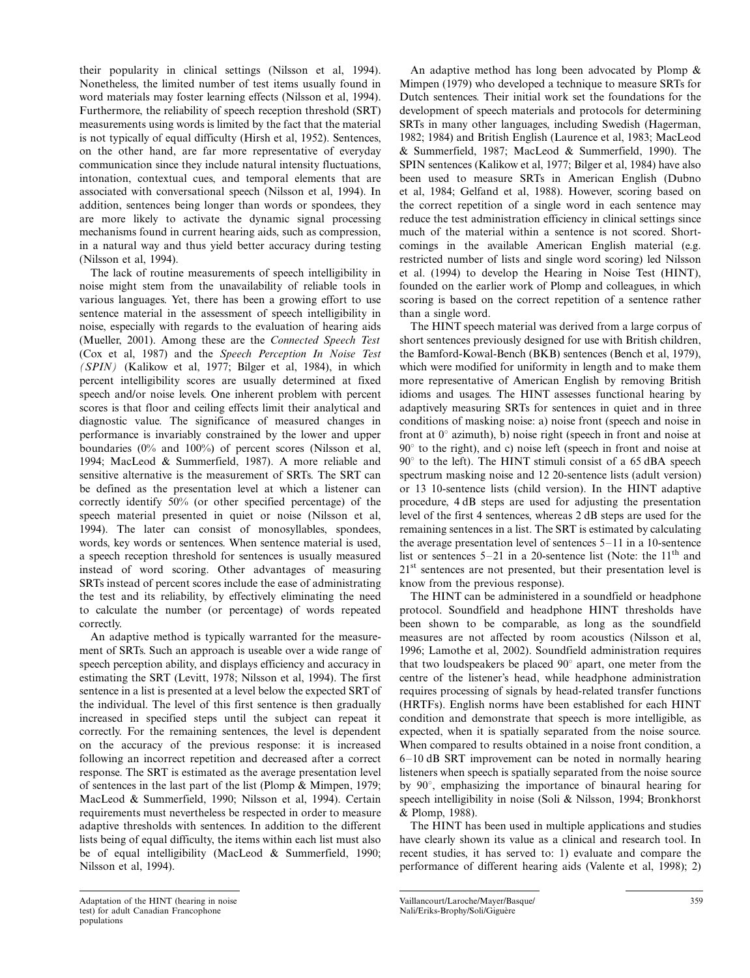their popularity in clinical settings (Nilsson et al, 1994). Nonetheless, the limited number of test items usually found in word materials may foster learning effects (Nilsson et al, 1994). Furthermore, the reliability of speech reception threshold (SRT) measurements using words is limited by the fact that the material is not typically of equal difficulty (Hirsh et al, 1952). Sentences, on the other hand, are far more representative of everyday communication since they include natural intensity fluctuations, intonation, contextual cues, and temporal elements that are associated with conversational speech (Nilsson et al, 1994). In addition, sentences being longer than words or spondees, they are more likely to activate the dynamic signal processing mechanisms found in current hearing aids, such as compression, in a natural way and thus yield better accuracy during testing (Nilsson et al, 1994).

The lack of routine measurements of speech intelligibility in noise might stem from the unavailability of reliable tools in various languages. Yet, there has been a growing effort to use sentence material in the assessment of speech intelligibility in noise, especially with regards to the evaluation of hearing aids (Mueller, 2001). Among these are the Connected Speech Test (Cox et al, 1987) and the Speech Perception In Noise Test (SPIN) (Kalikow et al, 1977; Bilger et al, 1984), in which percent intelligibility scores are usually determined at fixed speech and/or noise levels. One inherent problem with percent scores is that floor and ceiling effects limit their analytical and diagnostic value. The significance of measured changes in performance is invariably constrained by the lower and upper boundaries (0% and 100%) of percent scores (Nilsson et al, 1994; MacLeod & Summerfield, 1987). A more reliable and sensitive alternative is the measurement of SRTs. The SRT can be defined as the presentation level at which a listener can correctly identify 50% (or other specified percentage) of the speech material presented in quiet or noise (Nilsson et al, 1994). The later can consist of monosyllables, spondees, words, key words or sentences. When sentence material is used, a speech reception threshold for sentences is usually measured instead of word scoring. Other advantages of measuring SRTs instead of percent scores include the ease of administrating the test and its reliability, by effectively eliminating the need to calculate the number (or percentage) of words repeated correctly.

An adaptive method is typically warranted for the measurement of SRTs. Such an approach is useable over a wide range of speech perception ability, and displays efficiency and accuracy in estimating the SRT (Levitt, 1978; Nilsson et al, 1994). The first sentence in a list is presented at a level below the expected SRTof the individual. The level of this first sentence is then gradually increased in specified steps until the subject can repeat it correctly. For the remaining sentences, the level is dependent on the accuracy of the previous response: it is increased following an incorrect repetition and decreased after a correct response. The SRT is estimated as the average presentation level of sentences in the last part of the list (Plomp & Mimpen, 1979; MacLeod & Summerfield, 1990; Nilsson et al, 1994). Certain requirements must nevertheless be respected in order to measure adaptive thresholds with sentences. In addition to the different lists being of equal difficulty, the items within each list must also be of equal intelligibility (MacLeod & Summerfield, 1990; Nilsson et al, 1994).

An adaptive method has long been advocated by Plomp & Mimpen (1979) who developed a technique to measure SRTs for Dutch sentences. Their initial work set the foundations for the development of speech materials and protocols for determining SRTs in many other languages, including Swedish (Hagerman, 1982; 1984) and British English (Laurence et al, 1983; MacLeod & Summerfield, 1987; MacLeod & Summerfield, 1990). The SPIN sentences (Kalikow et al, 1977; Bilger et al, 1984) have also been used to measure SRTs in American English (Dubno et al, 1984; Gelfand et al, 1988). However, scoring based on the correct repetition of a single word in each sentence may reduce the test administration efficiency in clinical settings since much of the material within a sentence is not scored. Shortcomings in the available American English material (e.g. restricted number of lists and single word scoring) led Nilsson et al. (1994) to develop the Hearing in Noise Test (HINT), founded on the earlier work of Plomp and colleagues, in which scoring is based on the correct repetition of a sentence rather than a single word.

The HINT speech material was derived from a large corpus of short sentences previously designed for use with British children, the Bamford-Kowal-Bench (BKB) sentences (Bench et al, 1979), which were modified for uniformity in length and to make them more representative of American English by removing British idioms and usages. The HINT assesses functional hearing by adaptively measuring SRTs for sentences in quiet and in three conditions of masking noise: a) noise front (speech and noise in front at  $0^{\circ}$  azimuth), b) noise right (speech in front and noise at  $90^\circ$  to the right), and c) noise left (speech in front and noise at  $90^\circ$  to the left). The HINT stimuli consist of a 65 dBA speech spectrum masking noise and 12 20-sentence lists (adult version) or 13 10-sentence lists (child version). In the HINT adaptive procedure, 4 dB steps are used for adjusting the presentation level of the first 4 sentences, whereas 2 dB steps are used for the remaining sentences in a list. The SRT is estimated by calculating the average presentation level of sentences  $5-11$  in a 10-sentence list or sentences  $5-21$  in a 20-sentence list (Note: the  $11<sup>th</sup>$  and  $21<sup>st</sup>$  sentences are not presented, but their presentation level is know from the previous response).

The HINT can be administered in a soundfield or headphone protocol. Soundfield and headphone HINT thresholds have been shown to be comparable, as long as the soundfield measures are not affected by room acoustics (Nilsson et al, 1996; Lamothe et al, 2002). Soundfield administration requires that two loudspeakers be placed  $90^\circ$  apart, one meter from the centre of the listener's head, while headphone administration requires processing of signals by head-related transfer functions (HRTFs). English norms have been established for each HINT condition and demonstrate that speech is more intelligible, as expected, when it is spatially separated from the noise source. When compared to results obtained in a noise front condition, a 6!/10 dB SRT improvement can be noted in normally hearing listeners when speech is spatially separated from the noise source by  $90^\circ$ , emphasizing the importance of binaural hearing for speech intelligibility in noise (Soli & Nilsson, 1994; Bronkhorst & Plomp, 1988).

The HINT has been used in multiple applications and studies have clearly shown its value as a clinical and research tool. In recent studies, it has served to: 1) evaluate and compare the performance of different hearing aids (Valente et al, 1998); 2)

Vaillancourt/Laroche/Mayer/Basque/ Nali/Eriks-Brophy/Soli/Giguère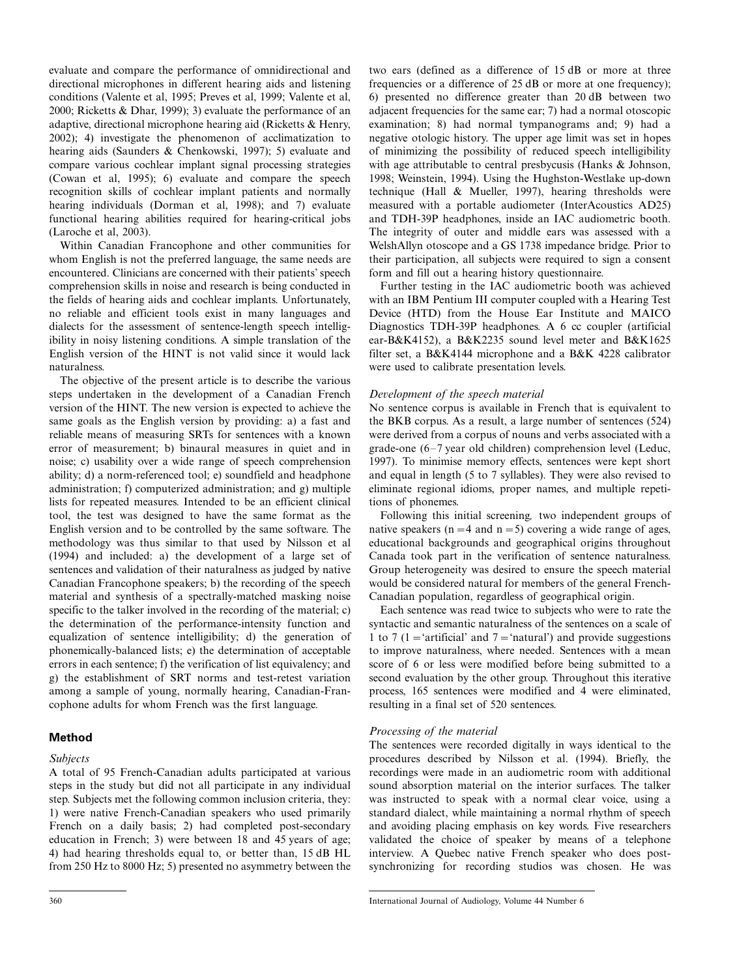evaluate and compare the performance of omnidirectional and directional microphones in different hearing aids and listening conditions (Valente et al, 1995; Preves et al, 1999; Valente et al, 2000; Ricketts & Dhar, 1999); 3) evaluate the performance of an adaptive, directional microphone hearing aid (Ricketts & Henry, 2002); 4) investigate the phenomenon of acclimatization to hearing aids (Saunders & Chenkowski, 1997); 5) evaluate and compare various cochlear implant signal processing strategies (Cowan et al, 1995); 6) evaluate and compare the speech recognition skills of cochlear implant patients and normally hearing individuals (Dorman et al. 1998); and 7) evaluate functional hearing abilities required for hearing-critical jobs (Laroche et al, 2003).

Within Canadian Francophone and other communities for whom English is not the preferred language, the same needs are encountered. Clinicians are concerned with their patients'speech comprehension skills in noise and research is being conducted in the fields of hearing aids and cochlear implants. Unfortunately, no reliable and efficient tools exist in many languages and dialects for the assessment of sentence-length speech intelligibility in noisy listening conditions. A simple translation of the English version of the HINT is not valid since it would lack naturalness.

The objective of the present article is to describe the various steps undertaken in the development of a Canadian French version of the HINT. The new version is expected to achieve the same goals as the English version by providing: a) a fast and reliable means of measuring SRTs for sentences with a known error of measurement; b) binaural measures in quiet and in noise; c) usability over a wide range of speech comprehension ability; d) a norm-referenced tool; e) soundfield and headphone administration; f) computerized administration; and g) multiple lists for repeated measures. Intended to be an efficient clinical tool, the test was designed to have the same format as the English version and to be controlled by the same software. The methodology was thus similar to that used by Nilsson et al (1994) and included: a) the development of a large set of sentences and validation of their naturalness as judged by native Canadian Francophone speakers; b) the recording of the speech material and synthesis of a spectrally-matched masking noise specific to the talker involved in the recording of the material; c) the determination of the performance-intensity function and equalization of sentence intelligibility; d) the generation of phonemically-balanced lists; e) the determination of acceptable errors in each sentence; f) the verification of list equivalency; and g) the establishment of SRT norms and test-retest variation among a sample of young, normally hearing, Canadian-Francophone adults for whom French was the first language.

## Method

#### **Subjects**

A total of 95 French-Canadian adults participated at various steps in the study but did not all participate in any individual step. Subjects met the following common inclusion criteria, they: 1) were native French-Canadian speakers who used primarily French on a daily basis; 2) had completed post-secondary education in French; 3) were between 18 and 45 years of age; 4) had hearing thresholds equal to, or better than, 15 dB HL from 250 Hz to 8000 Hz; 5) presented no asymmetry between the

two ears (defined as a difference of 15 dB or more at three frequencies or a difference of 25 dB or more at one frequency); 6) presented no difference greater than 20 dB between two adjacent frequencies for the same ear; 7) had a normal otoscopic examination; 8) had normal tympanograms and; 9) had a negative otologic history. The upper age limit was set in hopes of minimizing the possibility of reduced speech intelligibility with age attributable to central presbycusis (Hanks & Johnson, 1998; Weinstein, 1994). Using the Hughston-Westlake up-down technique (Hall & Mueller, 1997), hearing thresholds were measured with a portable audiometer (InterAcoustics AD25) and TDH-39P headphones, inside an IAC audiometric booth. The integrity of outer and middle ears was assessed with a WelshAllyn otoscope and a GS 1738 impedance bridge. Prior to their participation, all subjects were required to sign a consent form and fill out a hearing history questionnaire.

Further testing in the IAC audiometric booth was achieved with an IBM Pentium III computer coupled with a Hearing Test Device (HTD) from the House Ear Institute and MAICO Diagnostics TDH-39P headphones. A 6 cc coupler (artificial ear-B&K4152), a B&K2235 sound level meter and B&K1625 filter set, a B&K4144 microphone and a B&K 4228 calibrator were used to calibrate presentation levels.

#### Development of the speech material

No sentence corpus is available in French that is equivalent to the BKB corpus. As a result, a large number of sentences (524) were derived from a corpus of nouns and verbs associated with a grade-one  $(6-7 \text{ year old children})$  comprehension level (Leduc, 1997). To minimise memory effects, sentences were kept short and equal in length (5 to 7 syllables). They were also revised to eliminate regional idioms, proper names, and multiple repetitions of phonemes.

Following this initial screening, two independent groups of native speakers ( $n = 4$  and  $n = 5$ ) covering a wide range of ages, educational backgrounds and geographical origins throughout Canada took part in the verification of sentence naturalness. Group heterogeneity was desired to ensure the speech material would be considered natural for members of the general French-Canadian population, regardless of geographical origin.

Each sentence was read twice to subjects who were to rate the syntactic and semantic naturalness of the sentences on a scale of 1 to 7 (1 = 'artificial' and 7 = 'natural') and provide suggestions to improve naturalness, where needed. Sentences with a mean score of 6 or less were modified before being submitted to a second evaluation by the other group. Throughout this iterative process, 165 sentences were modified and 4 were eliminated, resulting in a final set of 520 sentences.

#### Processing of the material

The sentences were recorded digitally in ways identical to the procedures described by Nilsson et al. (1994). Briefly, the recordings were made in an audiometric room with additional sound absorption material on the interior surfaces. The talker was instructed to speak with a normal clear voice, using a standard dialect, while maintaining a normal rhythm of speech and avoiding placing emphasis on key words. Five researchers validated the choice of speaker by means of a telephone interview. A Quebec native French speaker who does postsynchronizing for recording studios was chosen. He was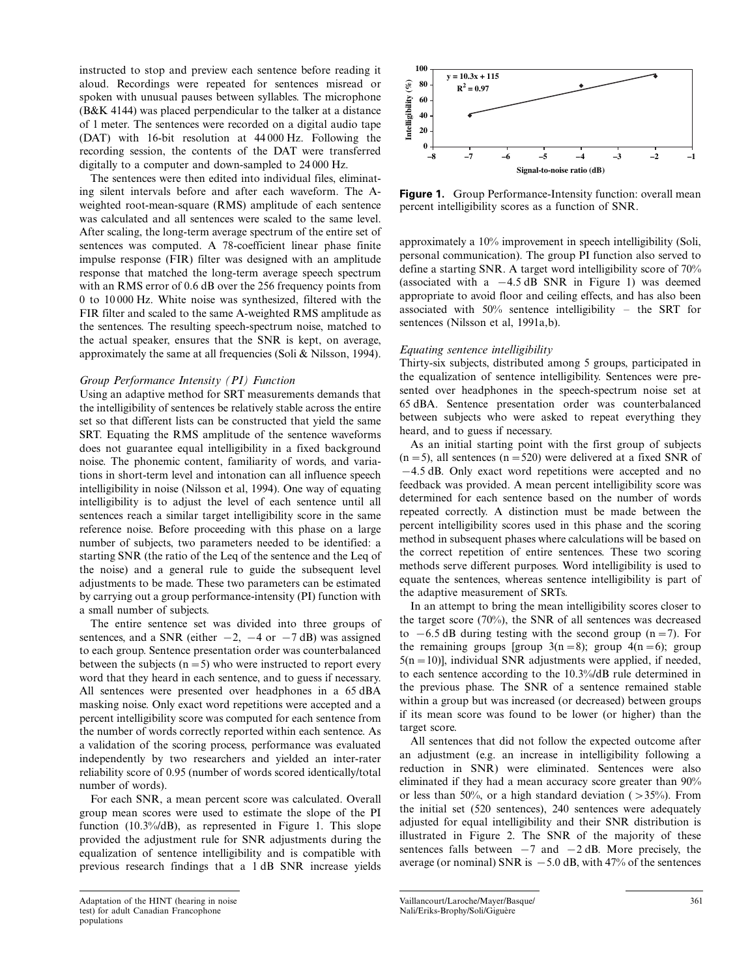instructed to stop and preview each sentence before reading it aloud. Recordings were repeated for sentences misread or spoken with unusual pauses between syllables. The microphone (B&K 4144) was placed perpendicular to the talker at a distance of 1 meter. The sentences were recorded on a digital audio tape (DAT) with 16-bit resolution at 44 000 Hz. Following the recording session, the contents of the DAT were transferred digitally to a computer and down-sampled to 24 000 Hz.

The sentences were then edited into individual files, eliminating silent intervals before and after each waveform. The Aweighted root-mean-square (RMS) amplitude of each sentence was calculated and all sentences were scaled to the same level. After scaling, the long-term average spectrum of the entire set of sentences was computed. A 78-coefficient linear phase finite impulse response (FIR) filter was designed with an amplitude response that matched the long-term average speech spectrum with an RMS error of 0.6 dB over the 256 frequency points from 0 to 10 000 Hz. White noise was synthesized, filtered with the FIR filter and scaled to the same A-weighted RMS amplitude as the sentences. The resulting speech-spectrum noise, matched to the actual speaker, ensures that the SNR is kept, on average, approximately the same at all frequencies (Soli  $&$  Nilsson, 1994).

#### Group Performance Intensity (PI) Function

Using an adaptive method for SRT measurements demands that the intelligibility of sentences be relatively stable across the entire set so that different lists can be constructed that yield the same SRT. Equating the RMS amplitude of the sentence waveforms does not guarantee equal intelligibility in a fixed background noise. The phonemic content, familiarity of words, and variations in short-term level and intonation can all influence speech intelligibility in noise (Nilsson et al, 1994). One way of equating intelligibility is to adjust the level of each sentence until all sentences reach a similar target intelligibility score in the same reference noise. Before proceeding with this phase on a large number of subjects, two parameters needed to be identified: a starting SNR (the ratio of the Leq of the sentence and the Leq of the noise) and a general rule to guide the subsequent level adjustments to be made. These two parameters can be estimated by carrying out a group performance-intensity (PI) function with a small number of subjects.

The entire sentence set was divided into three groups of sentences, and a SNR (either  $-2$ ,  $-4$  or  $-7$  dB) was assigned to each group. Sentence presentation order was counterbalanced between the subjects  $(n = 5)$  who were instructed to report every word that they heard in each sentence, and to guess if necessary. All sentences were presented over headphones in a 65 dBA masking noise. Only exact word repetitions were accepted and a percent intelligibility score was computed for each sentence from the number of words correctly reported within each sentence. As a validation of the scoring process, performance was evaluated independently by two researchers and yielded an inter-rater reliability score of 0.95 (number of words scored identically/total number of words).

For each SNR, a mean percent score was calculated. Overall group mean scores were used to estimate the slope of the PI function (10.3%/dB), as represented in Figure 1. This slope provided the adjustment rule for SNR adjustments during the equalization of sentence intelligibility and is compatible with previous research findings that a 1 dB SNR increase yields



Figure 1. Group Performance-Intensity function: overall mean percent intelligibility scores as a function of SNR.

approximately a 10% improvement in speech intelligibility (Soli, personal communication). The group PI function also served to define a starting SNR. A target word intelligibility score of 70% (associated with a  $-4.5$  dB SNR in Figure 1) was deemed appropriate to avoid floor and ceiling effects, and has also been associated with  $50\%$  sentence intelligibility - the SRT for sentences (Nilsson et al. 1991a.b).

## Equating sentence intelligibility

Thirty-six subjects, distributed among 5 groups, participated in the equalization of sentence intelligibility. Sentences were presented over headphones in the speech-spectrum noise set at 65 dBA. Sentence presentation order was counterbalanced between subjects who were asked to repeat everything they heard, and to guess if necessary.

As an initial starting point with the first group of subjects  $(n = 5)$ , all sentences  $(n = 520)$  were delivered at a fixed SNR of  $-4.5$  dB. Only exact word repetitions were accepted and no feedback was provided. A mean percent intelligibility score was determined for each sentence based on the number of words repeated correctly. A distinction must be made between the percent intelligibility scores used in this phase and the scoring method in subsequent phases where calculations will be based on the correct repetition of entire sentences. These two scoring methods serve different purposes. Word intelligibility is used to equate the sentences, whereas sentence intelligibility is part of the adaptive measurement of SRTs.

In an attempt to bring the mean intelligibility scores closer to the target score (70%), the SNR of all sentences was decreased to  $-6.5$  dB during testing with the second group (n = 7). For the remaining groups [group  $3(n=8)$ ; group  $4(n=6)$ ; group  $5(n = 10)$ ], individual SNR adjustments were applied, if needed, to each sentence according to the 10.3%/dB rule determined in the previous phase. The SNR of a sentence remained stable within a group but was increased (or decreased) between groups if its mean score was found to be lower (or higher) than the target score.

All sentences that did not follow the expected outcome after an adjustment (e.g. an increase in intelligibility following a reduction in SNR) were eliminated. Sentences were also eliminated if they had a mean accuracy score greater than 90% or less than 50%, or a high standard deviation ( $>35%$ ). From the initial set (520 sentences), 240 sentences were adequately adjusted for equal intelligibility and their SNR distribution is illustrated in Figure 2. The SNR of the majority of these sentences falls between  $-7$  and  $-2$  dB. More precisely, the average (or nominal) SNR is  $-5.0$  dB, with 47% of the sentences

Adaptation of the HINT (hearing in noise test) for adult Canadian Francophone populations

Vaillancourt/Laroche/Mayer/Basque/ Nali/Eriks-Brophy/Soli/Giguère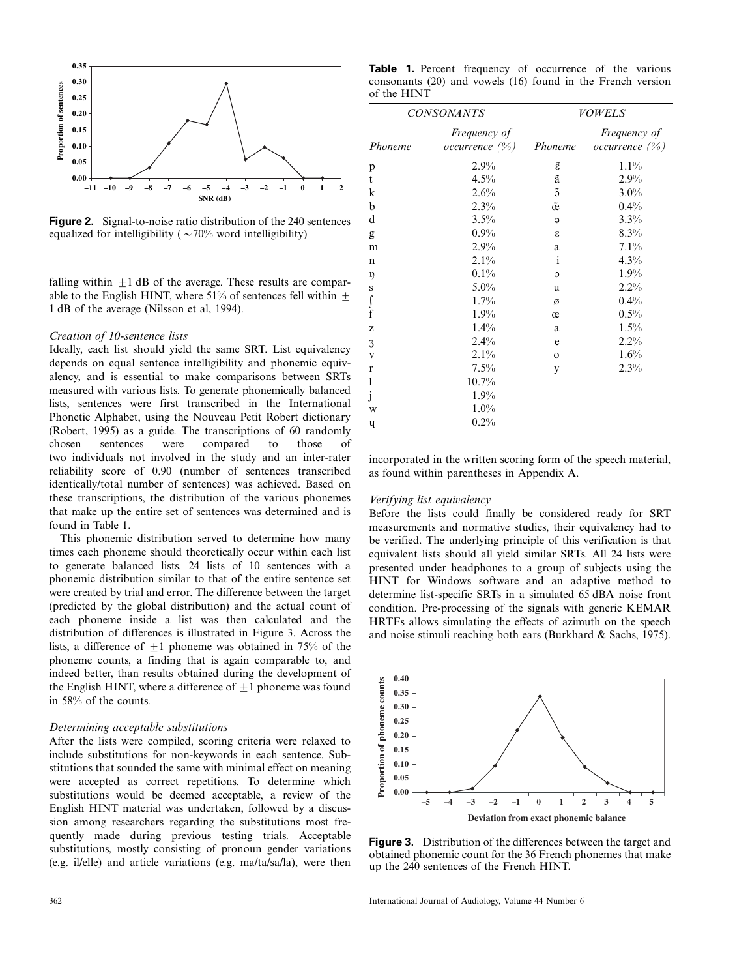

Figure 2. Signal-to-noise ratio distribution of the 240 sentences equalized for intelligibility ( $\sim$ 70% word intelligibility)

falling within  $\pm 1$  dB of the average. These results are comparable to the English HINT, where 51% of sentences fell within  $\pm$ 1 dB of the average (Nilsson et al, 1994).

#### Creation of 10-sentence lists

Ideally, each list should yield the same SRT. List equivalency depends on equal sentence intelligibility and phonemic equivalency, and is essential to make comparisons between SRTs measured with various lists. To generate phonemically balanced lists, sentences were first transcribed in the International Phonetic Alphabet, using the Nouveau Petit Robert dictionary (Robert, 1995) as a guide. The transcriptions of 60 randomly chosen sentences were compared to those of two individuals not involved in the study and an inter-rater reliability score of 0.90 (number of sentences transcribed identically/total number of sentences) was achieved. Based on these transcriptions, the distribution of the various phonemes that make up the entire set of sentences was determined and is found in Table 1.

This phonemic distribution served to determine how many times each phoneme should theoretically occur within each list to generate balanced lists. 24 lists of 10 sentences with a phonemic distribution similar to that of the entire sentence set were created by trial and error. The difference between the target (predicted by the global distribution) and the actual count of each phoneme inside a list was then calculated and the distribution of differences is illustrated in Figure 3. Across the lists, a difference of  $\pm 1$  phoneme was obtained in 75% of the phoneme counts, a finding that is again comparable to, and indeed better, than results obtained during the development of the English HINT, where a difference of  $\pm 1$  phoneme was found in 58% of the counts.

#### Determining acceptable substitutions

After the lists were compiled, scoring criteria were relaxed to include substitutions for non-keywords in each sentence. Substitutions that sounded the same with minimal effect on meaning were accepted as correct repetitions. To determine which substitutions would be deemed acceptable, a review of the English HINT material was undertaken, followed by a discussion among researchers regarding the substitutions most frequently made during previous testing trials. Acceptable substitutions, mostly consisting of pronoun gender variations (e.g. il/elle) and article variations (e.g. ma/ta/sa/la), were then

Table 1. Percent frequency of occurrence of the various consonants (20) and vowels (16) found in the French version of the HINT

|                         | <i>CONSONANTS</i>                  | <i>VOWELS</i>         |                                   |  |  |
|-------------------------|------------------------------------|-----------------------|-----------------------------------|--|--|
| Phoneme                 | Frequency of<br>occurrence $(\% )$ | Phoneme               | Frequency of<br>occurrence $(\%)$ |  |  |
| p                       | 2.9%                               | $\tilde{\varepsilon}$ | 1.1%                              |  |  |
| $\mathbf{t}$            | 4.5%                               | ã                     | 2.9%                              |  |  |
| k                       | 2.6%                               | $\tilde{c}$           | 3.0%                              |  |  |
| b                       | 2.3%                               | œ                     | 0.4%                              |  |  |
| d                       | 3.5%                               | $\Theta$              | 3.3%                              |  |  |
| g                       | 0.9%                               | ε                     | 8.3%                              |  |  |
| m                       | 2.9%                               | a                     | 7.1%                              |  |  |
| n                       | 2.1%                               | i                     | 4.3%                              |  |  |
| ŋ                       | 0.1%                               | C                     | 1.9%                              |  |  |
|                         | $5.0\%$                            | u                     | 2.2%                              |  |  |
| s<br>∫f                 | 1.7%                               | Ø                     | 0.4%                              |  |  |
|                         | 1.9%                               | œ                     | 0.5%                              |  |  |
| Z                       | 1.4%                               | a                     | 1.5%                              |  |  |
| 3                       | 2.4%                               | e                     | 2.2%                              |  |  |
| $\overline{\mathbf{V}}$ | 2.1%                               | $\mathbf{o}$          | 1.6%                              |  |  |
| $\mathbf{r}$            | 7.5%                               | y                     | 2.3%                              |  |  |
| 1                       | 10.7%                              |                       |                                   |  |  |
| j                       | 1.9%                               |                       |                                   |  |  |
| W                       | 1.0%                               |                       |                                   |  |  |
| Ч                       | 0.2%                               |                       |                                   |  |  |

incorporated in the written scoring form of the speech material, as found within parentheses in Appendix A.

#### Verifying list equivalency

Before the lists could finally be considered ready for SRT measurements and normative studies, their equivalency had to be verified. The underlying principle of this verification is that equivalent lists should all yield similar SRTs. All 24 lists were presented under headphones to a group of subjects using the HINT for Windows software and an adaptive method to determine list-specific SRTs in a simulated 65 dBA noise front condition. Pre-processing of the signals with generic KEMAR HRTFs allows simulating the effects of azimuth on the speech and noise stimuli reaching both ears (Burkhard & Sachs, 1975).



Figure 3. Distribution of the differences between the target and obtained phonemic count for the 36 French phonemes that make up the 240 sentences of the French HINT.

<sup>362</sup> International Journal of Audiology, Volume 44 Number 6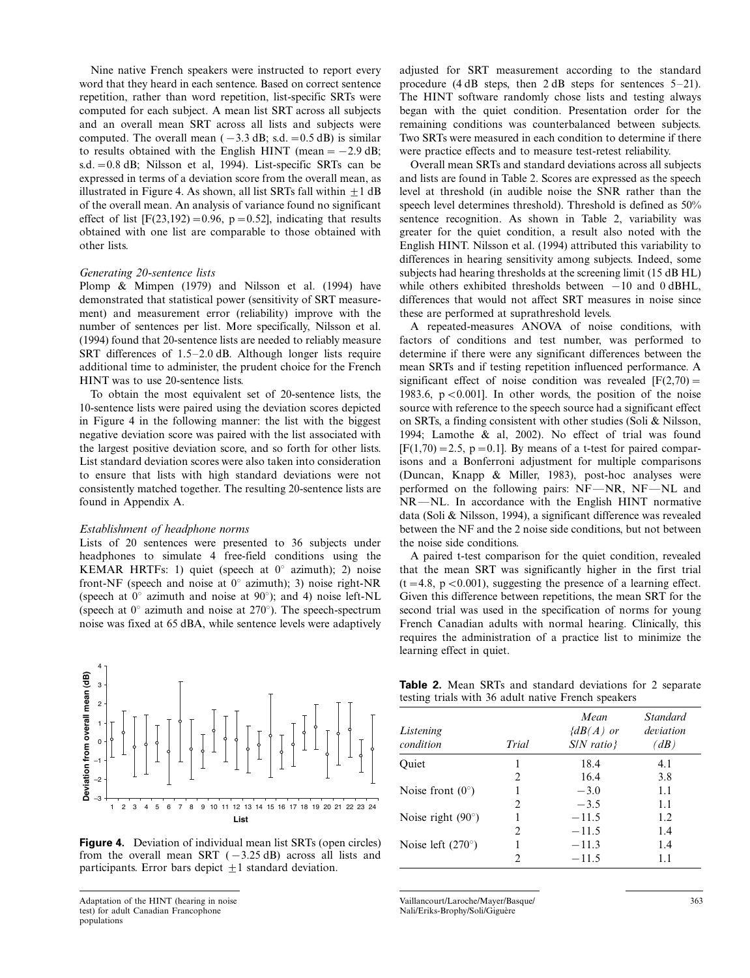Nine native French speakers were instructed to report every word that they heard in each sentence. Based on correct sentence repetition, rather than word repetition, list-specific SRTs were computed for each subject. A mean list SRT across all subjects and an overall mean SRT across all lists and subjects were computed. The overall mean  $(-3.3 \text{ dB}; \text{s.d.} = 0.5 \text{ dB})$  is similar to results obtained with the English HINT (mean  $= -2.9$  dB; s.d.  $= 0.8$  dB; Nilsson et al, 1994). List-specific SRTs can be expressed in terms of a deviation score from the overall mean, as illustrated in Figure 4. As shown, all list SRTs fall within  $\pm 1$  dB of the overall mean. An analysis of variance found no significant effect of list  $[F(23,192) = 0.96, p = 0.52]$ , indicating that results obtained with one list are comparable to those obtained with other lists.

#### Generating 20-sentence lists

Plomp & Mimpen (1979) and Nilsson et al. (1994) have demonstrated that statistical power (sensitivity of SRT measurement) and measurement error (reliability) improve with the number of sentences per list. More specifically, Nilsson et al. (1994) found that 20-sentence lists are needed to reliably measure SRT differences of  $1.5-2.0$  dB. Although longer lists require additional time to administer, the prudent choice for the French HINT was to use 20-sentence lists.

To obtain the most equivalent set of 20-sentence lists, the 10-sentence lists were paired using the deviation scores depicted in Figure 4 in the following manner: the list with the biggest negative deviation score was paired with the list associated with the largest positive deviation score, and so forth for other lists. List standard deviation scores were also taken into consideration to ensure that lists with high standard deviations were not consistently matched together. The resulting 20-sentence lists are found in Appendix A.

#### Establishment of headphone norms

Lists of 20 sentences were presented to 36 subjects under headphones to simulate 4 free-field conditions using the KEMAR HRTFs: 1) quiet (speech at  $0^{\circ}$  azimuth); 2) noise front-NF (speech and noise at  $0^{\circ}$  azimuth); 3) noise right-NR (speech at  $0^{\circ}$  azimuth and noise at  $90^{\circ}$ ); and 4) noise left-NL (speech at  $0^{\circ}$  azimuth and noise at 270 $^{\circ}$ ). The speech-spectrum noise was fixed at 65 dBA, while sentence levels were adaptively



**Figure 4.** Deviation of individual mean list SRTs (open circles) from the overall mean SRT  $(-3.25 \text{ dB})$  across all lists and participants. Error bars depict  $\pm 1$  standard deviation.

adjusted for SRT measurement according to the standard procedure (4 dB steps, then  $2$  dB steps for sentences  $5-21$ ). The HINT software randomly chose lists and testing always began with the quiet condition. Presentation order for the remaining conditions was counterbalanced between subjects. Two SRTs were measured in each condition to determine if there were practice effects and to measure test-retest reliability.

Overall mean SRTs and standard deviations across all subjects and lists are found in Table 2. Scores are expressed as the speech level at threshold (in audible noise the SNR rather than the speech level determines threshold). Threshold is defined as 50% sentence recognition. As shown in Table 2, variability was greater for the quiet condition, a result also noted with the English HINT. Nilsson et al. (1994) attributed this variability to differences in hearing sensitivity among subjects. Indeed, some subjects had hearing thresholds at the screening limit (15 dB HL) while others exhibited thresholds between  $-10$  and 0 dBHL, differences that would not affect SRT measures in noise since these are performed at suprathreshold levels.

A repeated-measures ANOVA of noise conditions, with factors of conditions and test number, was performed to determine if there were any significant differences between the mean SRTs and if testing repetition influenced performance. A significant effect of noise condition was revealed  $[F(2,70) =$ 1983.6,  $p < 0.001$ ]. In other words, the position of the noise source with reference to the speech source had a significant effect on SRTs, a finding consistent with other studies (Soli & Nilsson, 1994; Lamothe & al, 2002). No effect of trial was found  $[F(1,70) = 2.5, p = 0.1]$ . By means of a t-test for paired comparisons and a Bonferroni adjustment for multiple comparisons (Duncan, Knapp & Miller, 1983), post-hoc analyses were performed on the following pairs:  $NF-NR$ ,  $NF-NL$  and  $NR$ —NL. In accordance with the English HINT normative data (Soli & Nilsson, 1994), a significant difference was revealed between the NF and the 2 noise side conditions, but not between the noise side conditions.

A paired t-test comparison for the quiet condition, revealed that the mean SRT was significantly higher in the first trial  $(t = 4.8, p < 0.001)$ , suggesting the presence of a learning effect. Given this difference between repetitions, the mean SRT for the second trial was used in the specification of norms for young French Canadian adults with normal hearing. Clinically, this requires the administration of a practice list to minimize the learning effect in quiet.

|  |  |  | <b>Table 2.</b> Mean SRTs and standard deviations for 2 separate |  |  |
|--|--|--|------------------------------------------------------------------|--|--|
|  |  |  | testing trials with 36 adult native French speakers              |  |  |

| Listening<br>condition     | Trial          | Mean<br>$\{dB(A)$ or<br>$S/N$ ratio $\S$ | <b>Standard</b><br>deviation<br>(dB) |
|----------------------------|----------------|------------------------------------------|--------------------------------------|
| Ouiet                      |                | 18.4                                     | 4.1                                  |
|                            | $\mathcal{L}$  | 16.4                                     | 3.8                                  |
| Noise front $(0^{\circ})$  |                | $-3.0$                                   | 1.1                                  |
|                            | $\mathfrak{D}$ | $-3.5$                                   | 1.1                                  |
| Noise right $(90^{\circ})$ |                | $-11.5$                                  | 1.2                                  |
|                            | $\mathfrak{D}$ | $-11.5$                                  | 1.4                                  |
| Noise left $(270^{\circ})$ |                | $-11.3$                                  | 1.4                                  |
|                            | っ              | $-11.5$                                  |                                      |

Vaillancourt/Laroche/Mayer/Basque/ Nali/Eriks-Brophy/Soli/Giguère

Adaptation of the HINT (hearing in noise test) for adult Canadian Francophone populations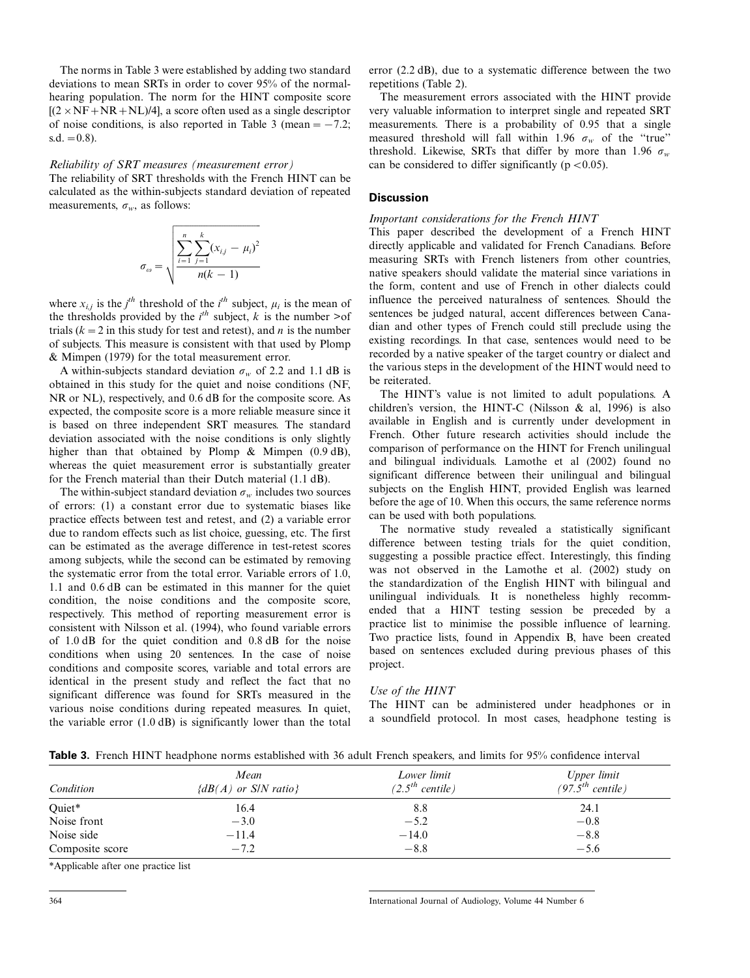The norms in Table 3 were established by adding two standard deviations to mean SRTs in order to cover 95% of the normalhearing population. The norm for the HINT composite score  $[(2 \times NF + NR + NL)/4]$ , a score often used as a single descriptor of noise conditions, is also reported in Table 3 (mean  $= -7.2$ ; s.d.  $= 0.8$ ).

#### Reliability of SRT measures (measurement error)

The reliability of SRT thresholds with the French HINT can be calculated as the within-subjects standard deviation of repeated measurements,  $\sigma_w$ , as follows:

$$
\sigma_{\omega} = \sqrt{\frac{\sum_{i=1}^{n} \sum_{j=1}^{k} (x_{i,j} - \mu_i)^2}{n(k-1)}}
$$

where  $x_{i,j}$  is the  $j^{th}$  threshold of the  $i^{th}$  subject,  $\mu_i$  is the mean of the thresholds provided by the  $i^{th}$  subject, k is the number >of trials ( $k = 2$  in this study for test and retest), and n is the number of subjects. This measure is consistent with that used by Plomp & Mimpen (1979) for the total measurement error.

A within-subjects standard deviation  $\sigma_w$  of 2.2 and 1.1 dB is obtained in this study for the quiet and noise conditions (NF, NR or NL), respectively, and 0.6 dB for the composite score. As expected, the composite score is a more reliable measure since it is based on three independent SRT measures. The standard deviation associated with the noise conditions is only slightly higher than that obtained by Plomp & Mimpen (0.9 dB), whereas the quiet measurement error is substantially greater for the French material than their Dutch material (1.1 dB).

The within-subject standard deviation  $\sigma_w$  includes two sources of errors: (1) a constant error due to systematic biases like practice effects between test and retest, and (2) a variable error due to random effects such as list choice, guessing, etc. The first can be estimated as the average difference in test-retest scores among subjects, while the second can be estimated by removing the systematic error from the total error. Variable errors of 1.0, 1.1 and 0.6 dB can be estimated in this manner for the quiet condition, the noise conditions and the composite score, respectively. This method of reporting measurement error is consistent with Nilsson et al. (1994), who found variable errors of 1.0 dB for the quiet condition and 0.8 dB for the noise conditions when using 20 sentences. In the case of noise conditions and composite scores, variable and total errors are identical in the present study and reflect the fact that no significant difference was found for SRTs measured in the various noise conditions during repeated measures. In quiet, the variable error (1.0 dB) is significantly lower than the total

error (2.2 dB), due to a systematic difference between the two repetitions (Table 2).

The measurement errors associated with the HINT provide very valuable information to interpret single and repeated SRT measurements. There is a probability of 0.95 that a single measured threshold will fall within 1.96  $\sigma_w$  of the "true" threshold. Likewise, SRTs that differ by more than 1.96  $\sigma_w$ can be considered to differ significantly ( $p < 0.05$ ).

#### Discussion

#### Important considerations for the French HINT

This paper described the development of a French HINT directly applicable and validated for French Canadians. Before measuring SRTs with French listeners from other countries, native speakers should validate the material since variations in the form, content and use of French in other dialects could influence the perceived naturalness of sentences. Should the sentences be judged natural, accent differences between Canadian and other types of French could still preclude using the existing recordings. In that case, sentences would need to be recorded by a native speaker of the target country or dialect and the various steps in the development of the HINT would need to be reiterated.

The HINT's value is not limited to adult populations. A children's version, the HINT-C (Nilsson  $\&$  al, 1996) is also available in English and is currently under development in French. Other future research activities should include the comparison of performance on the HINT for French unilingual and bilingual individuals. Lamothe et al (2002) found no significant difference between their unilingual and bilingual subjects on the English HINT, provided English was learned before the age of 10. When this occurs, the same reference norms can be used with both populations.

The normative study revealed a statistically significant difference between testing trials for the quiet condition, suggesting a possible practice effect. Interestingly, this finding was not observed in the Lamothe et al. (2002) study on the standardization of the English HINT with bilingual and unilingual individuals. It is nonetheless highly recommended that a HINT testing session be preceded by a practice list to minimise the possible influence of learning. Two practice lists, found in Appendix B, have been created based on sentences excluded during previous phases of this project.

#### Use of the HINT

The HINT can be administered under headphones or in a soundfield protocol. In most cases, headphone testing is

Table 3. French HINT headphone norms established with 36 adult French speakers, and limits for 95% confidence interval

| Condition       | Mean<br>${dB(A) \text{ or } S/N \text{ ratio}}$ | Lower limit<br>(2.5 <sup>th</sup> centile) | Upper limit<br>(97.5 <sup>th</sup> centile) |
|-----------------|-------------------------------------------------|--------------------------------------------|---------------------------------------------|
| Quiet*          | 16.4                                            | 8.8                                        | 24.1                                        |
| Noise front     | $-3.0$                                          | $-5.2$                                     | $-0.8$                                      |
| Noise side      | $-11.4$                                         | $-14.0$                                    | $-8.8$                                      |
| Composite score | $-7.2$                                          | $-8.8$                                     | $-5.6$                                      |

\*Applicable after one practice list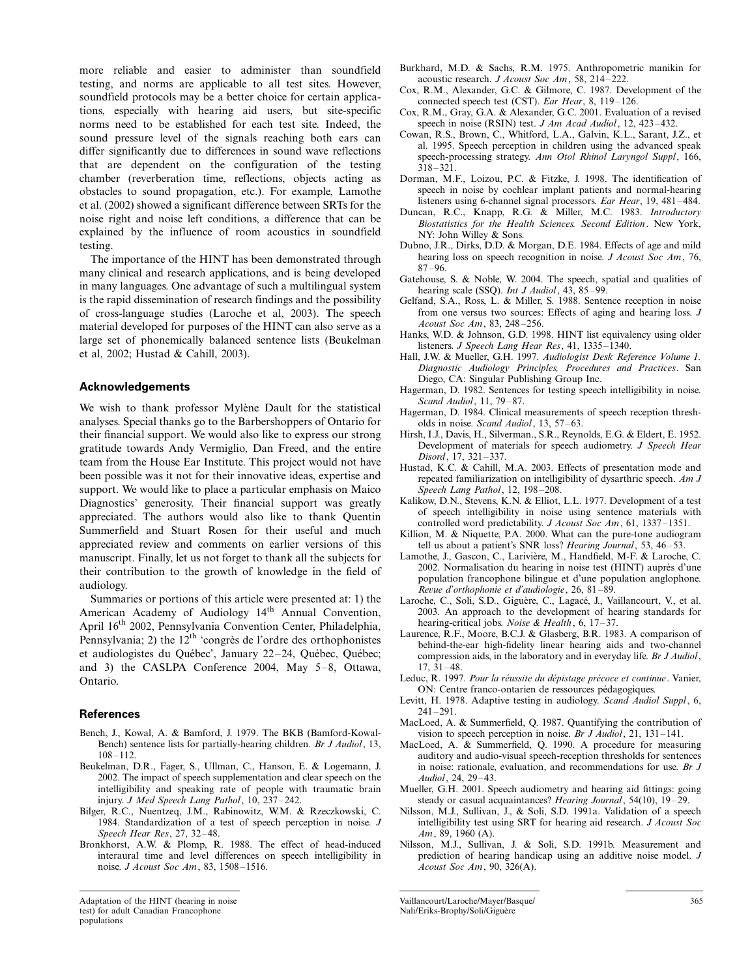more reliable and easier to administer than soundfield testing, and norms are applicable to all test sites. However, soundfield protocols may be a better choice for certain applications, especially with hearing aid users, but site-specific norms need to be established for each test site. Indeed, the sound pressure level of the signals reaching both ears can differ significantly due to differences in sound wave reflections that are dependent on the configuration of the testing chamber (reverberation time, reflections, objects acting as obstacles to sound propagation, etc.). For example, Lamothe et al. (2002) showed a significant difference between SRTs for the noise right and noise left conditions, a difference that can be explained by the influence of room acoustics in soundfield testing.

The importance of the HINT has been demonstrated through many clinical and research applications, and is being developed in many languages. One advantage of such a multilingual system is the rapid dissemination of research findings and the possibility of cross-language studies (Laroche et al, 2003). The speech material developed for purposes of the HINT can also serve as a large set of phonemically balanced sentence lists (Beukelman et al, 2002; Hustad & Cahill, 2003).

#### Acknowledgements

We wish to thank professor Mylène Dault for the statistical analyses. Special thanks go to the Barbershoppers of Ontario for their financial support. We would also like to express our strong gratitude towards Andy Vermiglio, Dan Freed, and the entire team from the House Ear Institute. This project would not have been possible was it not for their innovative ideas, expertise and support. We would like to place a particular emphasis on Maico Diagnostics' generosity. Their financial support was greatly appreciated. The authors would also like to thank Quentin Summerfield and Stuart Rosen for their useful and much appreciated review and comments on earlier versions of this manuscript. Finally, let us not forget to thank all the subjects for their contribution to the growth of knowledge in the field of audiology.

Summaries or portions of this article were presented at: 1) the American Academy of Audiology 14<sup>th</sup> Annual Convention, April 16<sup>th</sup> 2002, Pennsylvania Convention Center, Philadelphia, Pennsylvania; 2) the 12<sup>th</sup> 'congrès de l'ordre des orthophonistes et audiologistes du Québec', January 22-24, Québec, Québec; and 3) the CASLPA Conference 2004, May  $5-8$ , Ottawa, Ontario.

#### **References**

- Bench, J., Kowal, A. & Bamford, J. 1979. The BKB (Bamford-Kowal-Bench) sentence lists for partially-hearing children. Br J Audiol, 13,  $108 - 112.$
- Beukelman, D.R., Fager, S., Ullman, C., Hanson, E. & Logemann, J. 2002. The impact of speech supplementation and clear speech on the intelligibility and speaking rate of people with traumatic brain injury. J Med Speech Lang Pathol,  $10$ ,  $237-242$ .
- Bilger, R.C., Nuentzeq, J.M., Rabinowitz, W.M. & Rzeczkowski, C. 1984. Standardization of a test of speech perception in noise. J Speech Hear Res,  $27, 32-48.$
- Bronkhorst, A.W. & Plomp, R. 1988. The effect of head-induced interaural time and level differences on speech intelligibility in noise. J Acoust Soc Am, 83, 1508-1516.

Adaptation of the HINT (hearing in noise test) for adult Canadian Francophone populations

- Burkhard, M.D. & Sachs, R.M. 1975. Anthropometric manikin for acoustic research. J Acoust Soc Am, 58, 214-222.
- Cox, R.M., Alexander, G.C. & Gilmore, C. 1987. Development of the connected speech test (CST). Ear Hear, 8, 119-126.
- Cox, R.M., Gray, G.A. & Alexander, G.C. 2001. Evaluation of a revised speech in noise (RSIN) test.  $J$  Am Acad Audiol, 12, 423-432.
- Cowan, R.S., Brown, C., Whitford, L.A., Galvin, K.L., Sarant, J.Z., et al. 1995. Speech perception in children using the advanced speak speech-processing strategy. Ann Otol Rhinol Laryngol Suppl, 166,  $318 - 321.$
- Dorman, M.F., Loizou, P.C. & Fitzke, J. 1998. The identification of speech in noise by cochlear implant patients and normal-hearing listeners using 6-channel signal processors. Ear Hear, 19, 481-484.
- Duncan, R.C., Knapp, R.G. & Miller, M.C. 1983. Introductory Biostatistics for the Health Sciences. Second Edition. New York, NY: John Willey & Sons.
- Dubno, J.R., Dirks, D.D. & Morgan, D.E. 1984. Effects of age and mild hearing loss on speech recognition in noise. J Acoust Soc Am, 76,  $87 - 96$
- Gatehouse, S. & Noble, W. 2004. The speech, spatial and qualities of hearing scale (SSO). *Int J Audiol*,  $43, 85-99$ .
- Gelfand, S.A., Ross, L. & Miller, S. 1988. Sentence reception in noise from one versus two sources: Effects of aging and hearing loss. J Acoust Soc Am, 83, 248-256.
- Hanks, W.D. & Johnson, G.D. 1998. HINT list equivalency using older listeners. J Speech Lang Hear Res, 41, 1335 $-1340$ .
- Hall, J.W. & Mueller, G.H. 1997. Audiologist Desk Reference Volume 1. Diagnostic Audiology Principles, Procedures and Practices. San Diego, CA: Singular Publishing Group Inc.
- Hagerman, D. 1982. Sentences for testing speech intelligibility in noise. Scand Audiol, 11, 79-87.
- Hagerman, D. 1984. Clinical measurements of speech reception thresholds in noise. Scand Audiol, 13, 57-63.
- Hirsh, I.J., Davis, H., Silverman., S.R., Reynolds, E.G. & Eldert, E. 1952. Development of materials for speech audiometry. J Speech Hear  $Disord, 17, 321 - 337.$
- Hustad, K.C. & Cahill, M.A. 2003. Effects of presentation mode and repeated familiarization on intelligibility of dysarthric speech. Am  $J$ Speech Lang Pathol,  $12, 198 - 208$ .
- Kalikow, D.N., Stevens, K.N. & Elliot, L.L. 1977. Development of a test of speech intelligibility in noise using sentence materials with controlled word predictability. J Acoust Soc Am, 61, 1337-1351.
- Killion, M. & Niquette, P.A. 2000. What can the pure-tone audiogram tell us about a patient's SNR loss? Hearing Journal, 53,  $46-53$ .
- Lamothe, J., Gascon, C., Larivière, M., Handfield, M-F. & Laroche, C. 2002. Normalisation du hearing in noise test (HINT) auprès d'une population francophone bilingue et d'une population anglophone.  $\overline{Re}$ vue d'orthophonie et d'audiologie, 26, 81-89.
- Laroche, C., Soli, S.D., Giguère, C., Lagacé, J., Vaillancourt, V., et al. 2003. An approach to the development of hearing standards for hearing-critical jobs. Noise & Health, 6,  $17-37$ .
- Laurence, R.F., Moore, B.C.J. & Glasberg, B.R. 1983. A comparison of behind-the-ear high-fidelity linear hearing aids and two-channel compression aids, in the laboratory and in everyday life. Br J Audiol,  $17, \overline{31} - 48.$
- Leduc, R. 1997. Pour la réussite du dépistage précoce et continue. Vanier, ON: Centre franco-ontarien de ressources pédagogiques.
- Levitt, H. 1978. Adaptive testing in audiology. Scand Audiol Suppl, 6,  $241 - 291$
- MacLoed, A. & Summerfield, Q. 1987. Quantifying the contribution of vision to speech perception in noise. Br J Audiol, 21, 131-141.
- MacLoed, A. & Summerfield, Q. 1990. A procedure for measuring auditory and audio-visual speech-reception thresholds for sentences in noise: rationale, evaluation, and recommendations for use. Br J Audiol, 24, 29-43.
- Mueller, G.H. 2001. Speech audiometry and hearing aid fittings: going steady or casual acquaintances? Hearing Journal,  $54(10)$ ,  $19-29$ .
- Nilsson, M.J., Sullivan, J., & Soli, S.D. 1991a. Validation of a speech intelligibility test using SRT for hearing aid research. J Acoust Soc Am, 89, 1960 (A).
- Nilsson, M.J., Sullivan, J. & Soli, S.D. 1991b. Measurement and prediction of hearing handicap using an additive noise model. J  $A$ coust Soc Am, 90, 326(A).

Vaillancourt/Laroche/Mayer/Basque/ Nali/Eriks-Brophy/Soli/Gigue`re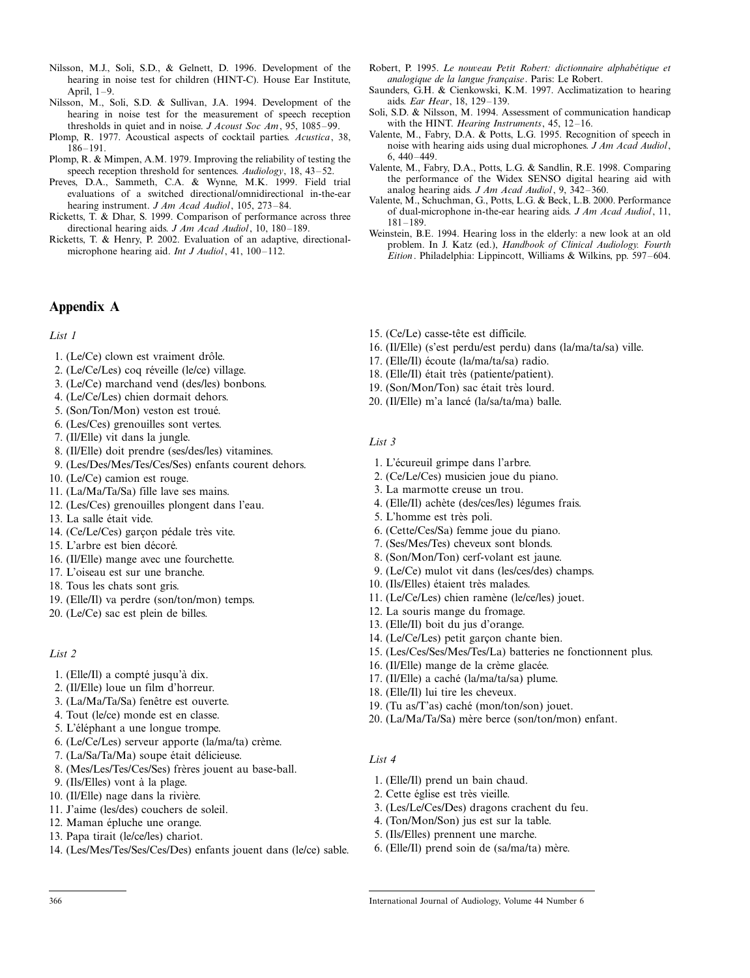- Nilsson, M.J., Soli, S.D., & Gelnett, D. 1996. Development of the hearing in noise test for children (HINT-C). House Ear Institute, April,  $1-9$ .
- Nilsson, M., Soli, S.D. & Sullivan, J.A. 1994. Development of the hearing in noise test for the measurement of speech reception thresholds in quiet and in noise.  $J$  Acoust Soc Am, 95, 1085-99.
- Plomp, R. 1977. Acoustical aspects of cocktail parties. Acustica, 38,  $186 - 191$ .
- Plomp, R. & Mimpen, A.M. 1979. Improving the reliability of testing the speech reception threshold for sentences. Audiology,  $18, 43-52$ .
- Preves, D.A., Sammeth, C.A. & Wynne, M.K. 1999. Field trial evaluations of a switched directional/omnidirectional in-the-ear hearing instrument.  $J \, Am \, Acad \, Audio1$ , 105, 273-84.
- Ricketts, T. & Dhar, S. 1999. Comparison of performance across three directional hearing aids.  $JAm Acad Audio$ , 10, 180-189.
- Ricketts, T. & Henry, P. 2002. Evaluation of an adaptive, directionalmicrophone hearing aid. *Int J Audiol*, 41,  $100-112$ .

## Appendix A

#### List 1

- 1. (Le/Ce) clown est vraiment drôle.
- 2. (Le/Ce/Les) coq réveille (le/ce) village.
- 3. (Le/Ce) marchand vend (des/les) bonbons.
- 4. (Le/Ce/Les) chien dormait dehors.
- 5. (Son/Ton/Mon) veston est troué.
- 6. (Les/Ces) grenouilles sont vertes.
- 7. (Il/Elle) vit dans la jungle.
- 8. (Il/Elle) doit prendre (ses/des/les) vitamines.
- 9. (Les/Des/Mes/Tes/Ces/Ses) enfants courent dehors.
- 10. (Le/Ce) camion est rouge.
- 11. (La/Ma/Ta/Sa) fille lave ses mains.
- 12. (Les/Ces) grenouilles plongent dans l'eau.
- 13. La salle était vide.
- 14. (Ce/Le/Ces) garçon pédale très vite.
- 15. L'arbre est bien décoré.
- 16. (Il/Elle) mange avec une fourchette.
- 17. L'oiseau est sur une branche.
- 18. Tous les chats sont gris.
- 19. (Elle/Il) va perdre (son/ton/mon) temps.
- 20. (Le/Ce) sac est plein de billes.

#### List 2

- 1. (Elle/II) a compté jusqu'à dix.
- 2. (Il/Elle) loue un film d'horreur.
- 3. (La/Ma/Ta/Sa) fenêtre est ouverte.
- 4. Tout (le/ce) monde est en classe.
- 5. L'éléphant a une longue trompe.
- 6. (Le/Ce/Les) serveur apporte (la/ma/ta) crème.
- 7. (La/Sa/Ta/Ma) soupe était délicieuse.
- 8. (Mes/Les/Tes/Ces/Ses) frères jouent au base-ball.
- 9. (Ils/Elles) vont à la plage.
- 10. (Il/Elle) nage dans la rivière.
- 11. J'aime (les/des) couchers de soleil.
- 12. Maman épluche une orange.
- 13. Papa tirait (le/ce/les) chariot.
- 14. (Les/Mes/Tes/Ses/Ces/Des) enfants jouent dans (le/ce) sable.
- Robert, P. 1995. Le nouveau Petit Robert: dictionnaire alphabétique et analogique de la langue francaise. Paris: Le Robert.
- Saunders, G.H. & Cienkowski, K.M. 1997. Acclimatization to hearing aids. Ear Hear, 18, 129-139.
- Soli, S.D. & Nilsson, M. 1994. Assessment of communication handicap with the HINT. Hearing Instruments,  $45$ ,  $12-16$ .
- Valente, M., Fabry, D.A. & Potts, L.G. 1995. Recognition of speech in noise with hearing aids using dual microphones. J Am Acad Audiol,  $6,440 - 449$
- Valente, M., Fabry, D.A., Potts, L.G. & Sandlin, R.E. 1998. Comparing the performance of the Widex SENSO digital hearing aid with analog hearing aids.  $JAm Acad Audiol$ , 9, 342-360.
- Valente, M., Schuchman, G., Potts, L.G. & Beck, L.B. 2000. Performance of dual-microphone in-the-ear hearing aids. J Am Acad Audiol, 11,  $181 - 189$
- Weinstein, B.E. 1994. Hearing loss in the elderly: a new look at an old problem. In J. Katz (ed.), Handbook of Clinical Audiology. Fourth Eition. Philadelphia: Lippincott, Williams & Wilkins, pp. 597-604.
- 15. (Ce/Le) casse-tête est difficile.
- 16. (Il/Elle) (s'est perdu/est perdu) dans (la/ma/ta/sa) ville.
- 17. (Elle/II) écoute (la/ma/ta/sa) radio.
- 18. (Elle/II) était très (patiente/patient).
- 19. (Son/Mon/Ton) sac était très lourd.
- 20. (Il/Elle) m'a lancé (la/sa/ta/ma) balle.

#### List 3

- 1. L'écureuil grimpe dans l'arbre.
- 2. (Ce/Le/Ces) musicien joue du piano.
- 3. La marmotte creuse un trou.
- 4. (Elle/II) achète (des/ces/les) légumes frais.
- 5. L'homme est très poli.
- 6. (Cette/Ces/Sa) femme joue du piano.
- 7. (Ses/Mes/Tes) cheveux sont blonds.
- 8. (Son/Mon/Ton) cerf-volant est jaune.
- 9. (Le/Ce) mulot vit dans (les/ces/des) champs.
- 10. (Ils/Elles) étaient très malades.
- 11. (Le/Ce/Les) chien ramène (le/ce/les) jouet.
- 12. La souris mange du fromage.
- 13. (Elle/Il) boit du jus d'orange.
- 14. (Le/Ce/Les) petit garçon chante bien.
- 15. (Les/Ces/Ses/Mes/Tes/La) batteries ne fonctionnent plus.
- 16. (Il/Elle) mange de la crème glacée.
- 17. (Il/Elle) a caché (la/ma/ta/sa) plume.
- 18. (Elle/Il) lui tire les cheveux.
- 19. (Tu as/T'as) caché (mon/ton/son) jouet.
- 20. (La/Ma/Ta/Sa) mère berce (son/ton/mon) enfant.

#### List 4

- 1. (Elle/Il) prend un bain chaud.
- 2. Cette église est très vieille.
- 3. (Les/Le/Ces/Des) dragons crachent du feu.
- 4. (Ton/Mon/Son) jus est sur la table.
- 5. (Ils/Elles) prennent une marche.
- 6. (Elle/II) prend soin de  $(sa/ma/ta)$  mère.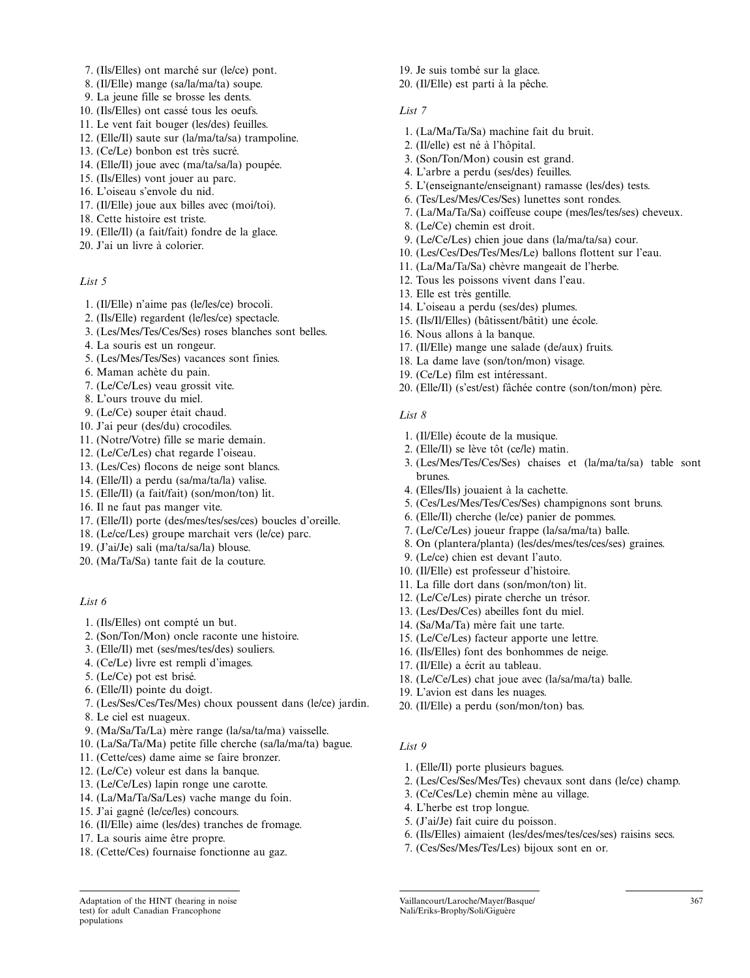- 7. (Ils/Elles) ont marché sur (le/ce) pont.
- 8. (Il/Elle) mange (sa/la/ma/ta) soupe.
- 9. La jeune fille se brosse les dents.
- 10. (Ils/Elles) ont cassé tous les oeufs.
- 11. Le vent fait bouger (les/des) feuilles.
- 12. (Elle/Il) saute sur (la/ma/ta/sa) trampoline.
- 13. (Ce/Le) bonbon est très sucré.
- 14. (Elle/II) joue avec (ma/ta/sa/la) poupée.
- 15. (Ils/Elles) vont jouer au parc.
- 16. L'oiseau s'envole du nid.
- 17. (Il/Elle) joue aux billes avec (moi/toi).
- 18. Cette histoire est triste.
- 19. (Elle/Il) (a fait/fait) fondre de la glace.
- 20. J'ai un livre à colorier.

#### List  $5$

- 1. (Il/Elle) n'aime pas (le/les/ce) brocoli.
- 2. (Ils/Elle) regardent (le/les/ce) spectacle.
- 3. (Les/Mes/Tes/Ces/Ses) roses blanches sont belles.
- 4. La souris est un rongeur.
- 5. (Les/Mes/Tes/Ses) vacances sont finies.
- 6. Maman ache`te du pain.
- 7. (Le/Ce/Les) veau grossit vite.
- 8. L'ours trouve du miel.
- 9. (Le/Ce) souper était chaud.
- 10. J'ai peur (des/du) crocodiles.
- 11. (Notre/Votre) fille se marie demain.
- 12. (Le/Ce/Les) chat regarde l'oiseau.
- 13. (Les/Ces) flocons de neige sont blancs.
- 14. (Elle/Il) a perdu (sa/ma/ta/la) valise.
- 15. (Elle/Il) (a fait/fait) (son/mon/ton) lit.
- 16. Il ne faut pas manger vite.
- 17. (Elle/Il) porte (des/mes/tes/ses/ces) boucles d'oreille.
- 18. (Le/ce/Les) groupe marchait vers (le/ce) parc.
- 19. (J'ai/Je) sali (ma/ta/sa/la) blouse.
- 20. (Ma/Ta/Sa) tante fait de la couture.

#### List 6

- 1. (Ils/Elles) ont compté un but.
- 2. (Son/Ton/Mon) oncle raconte une histoire.
- 3. (Elle/Il) met (ses/mes/tes/des) souliers.
- 4. (Ce/Le) livre est rempli d'images.
- 5. (Le/Ce) pot est brisé.
- 6. (Elle/Il) pointe du doigt.
- 7. (Les/Ses/Ces/Tes/Mes) choux poussent dans (le/ce) jardin.
- 8. Le ciel est nuageux.
- 9. (Ma/Sa/Ta/La) mère range (la/sa/ta/ma) vaisselle.
- 10. (La/Sa/Ta/Ma) petite fille cherche (sa/la/ma/ta) bague.
- 11. (Cette/ces) dame aime se faire bronzer.
- 12. (Le/Ce) voleur est dans la banque.
- 13. (Le/Ce/Les) lapin ronge une carotte.
- 14. (La/Ma/Ta/Sa/Les) vache mange du foin.
- 15. J'ai gagné (le/ce/les) concours.
- 16. (Il/Elle) aime (les/des) tranches de fromage.
- 17. La souris aime être propre.

Adaptation of the HINT (hearing in noise test) for adult Canadian Francophone

populations

18. (Cette/Ces) fournaise fonctionne au gaz.

- 19. Je suis tombé sur la glace.
- 20. (Il/Elle) est parti à la pêche.

#### List 7

- 1. (La/Ma/Ta/Sa) machine fait du bruit.
- 2. (Il/elle) est né à l'hôpital.
- 3. (Son/Ton/Mon) cousin est grand.
- 4. L'arbre a perdu (ses/des) feuilles.
- 5. L'(enseignante/enseignant) ramasse (les/des) tests.
- 6. (Tes/Les/Mes/Ces/Ses) lunettes sont rondes.
- 7. (La/Ma/Ta/Sa) coiffeuse coupe (mes/les/tes/ses) cheveux.
- 8. (Le/Ce) chemin est droit.
- 9. (Le/Ce/Les) chien joue dans (la/ma/ta/sa) cour.
- 10. (Les/Ces/Des/Tes/Mes/Le) ballons flottent sur l'eau.
- 11. (La/Ma/Ta/Sa) chèvre mangeait de l'herbe.
- 12. Tous les poissons vivent dans l'eau.
- 13. Elle est très gentille.
- 14. L'oiseau a perdu (ses/des) plumes.
- 15. (Ils/Il/Elles) (bâtissent/bâtit) une école.
- 16. Nous allons à la banque.
- 17. (Il/Elle) mange une salade (de/aux) fruits.
- 18. La dame lave (son/ton/mon) visage.
- 19. (Ce/Le) film est intéressant.
- 20. (Elle/II) (s'est/est) fâchée contre (son/ton/mon) père.

#### List 8

- 1. (Il/Elle) écoute de la musique.
- 2. (Elle/II) se lève tôt (ce/le) matin.
- 3. (Les/Mes/Tes/Ces/Ses) chaises et (la/ma/ta/sa) table sont brunes.
- 4. (Elles/Ils) jouaient à la cachette.
- 5. (Ces/Les/Mes/Tes/Ces/Ses) champignons sont bruns.
- 6. (Elle/Il) cherche (le/ce) panier de pommes.
- 7. (Le/Ce/Les) joueur frappe (la/sa/ma/ta) balle.
- 8. On (plantera/planta) (les/des/mes/tes/ces/ses) graines.
- 9. (Le/ce) chien est devant l'auto.
- 10. (Il/Elle) est professeur d'histoire.
- 11. La fille dort dans (son/mon/ton) lit.
- 12. (Le/Ce/Les) pirate cherche un trésor.
- 13. (Les/Des/Ces) abeilles font du miel.
- 14. (Sa/Ma/Ta) mère fait une tarte.
- 15. (Le/Ce/Les) facteur apporte une lettre.
- 16. (Ils/Elles) font des bonhommes de neige.
- 17. (Il/Elle) a écrit au tableau.
- 18. (Le/Ce/Les) chat joue avec (la/sa/ma/ta) balle.
- 19. L'avion est dans les nuages.
- 20. (Il/Elle) a perdu (son/mon/ton) bas.

#### List 9

1. (Elle/Il) porte plusieurs bagues. 2. (Les/Ces/Ses/Mes/Tes) chevaux sont dans (le/ce) champ.

4. L'herbe est trop longue. 5. (J'ai/Je) fait cuire du poisson.

Vaillancourt/Laroche/Mayer/Basque/ Nali/Eriks-Brophy/Soli/Gigue`re

3. (Ce/Ces/Le) chemin mène au village.

7. (Ces/Ses/Mes/Tes/Les) bijoux sont en or.

6. (Ils/Elles) aimaient (les/des/mes/tes/ces/ses) raisins secs.

367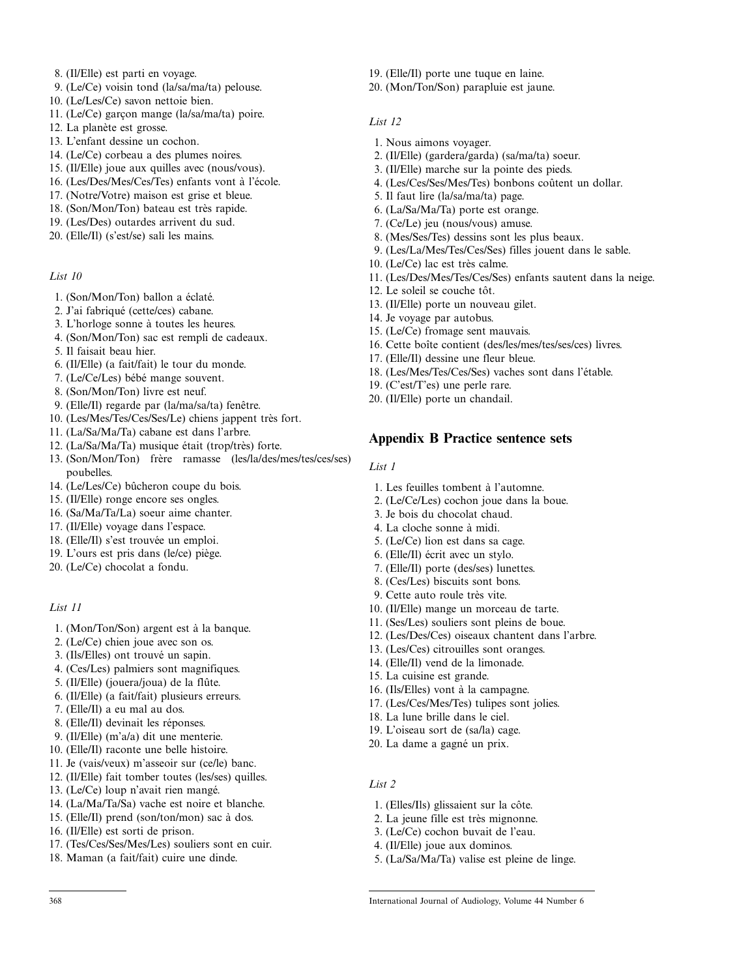- 8. (Il/Elle) est parti en voyage.
- 9. (Le/Ce) voisin tond (la/sa/ma/ta) pelouse.
- 10. (Le/Les/Ce) savon nettoie bien.
- 11. (Le/Ce) garçon mange (la/sa/ma/ta) poire.
- 12. La planète est grosse.
- 13. L'enfant dessine un cochon.
- 14. (Le/Ce) corbeau a des plumes noires.
- 15. (Il/Elle) joue aux quilles avec (nous/vous).
- 16. (Les/Des/Mes/Ces/Tes) enfants vont à l'école.
- 17. (Notre/Votre) maison est grise et bleue.
- 18. (Son/Mon/Ton) bateau est très rapide.
- 19. (Les/Des) outardes arrivent du sud.
- 20. (Elle/Il) (s'est/se) sali les mains.

### List 10

- 1. (Son/Mon/Ton) ballon a éclaté.
- 2. J'ai fabriqué (cette/ces) cabane.
- 3. L'horloge sonne a` toutes les heures.
- 4. (Son/Mon/Ton) sac est rempli de cadeaux.
- 5. Il faisait beau hier.
- 6. (Il/Elle) (a fait/fait) le tour du monde.
- 7. (Le/Ce/Les) bébé mange souvent.
- 8. (Son/Mon/Ton) livre est neuf.
- 9. (Elle/II) regarde par (la/ma/sa/ta) fenêtre.
- 10. (Les/Mes/Tes/Ces/Ses/Le) chiens jappent très fort.
- 11. (La/Sa/Ma/Ta) cabane est dans l'arbre.
- 12. (La/Sa/Ma/Ta) musique était (trop/très) forte.
- 13. (Son/Mon/Ton) frère ramasse (les/la/des/mes/tes/ces/ses) poubelles.
- 14. (Le/Les/Ce) bûcheron coupe du bois.
- 15. (Il/Elle) ronge encore ses ongles.
- 16. (Sa/Ma/Ta/La) soeur aime chanter.
- 17. (Il/Elle) voyage dans l'espace.
- 18. (Elle/II) s'est trouvée un emploi.
- 19. L'ours est pris dans (le/ce) piège.
- 20. (Le/Ce) chocolat a fondu.

## List 11

- 1. (Mon/Ton/Son) argent est a` la banque.
- 2. (Le/Ce) chien joue avec son os.
- 3. (Ils/Elles) ont trouvé un sapin.
- 4. (Ces/Les) palmiers sont magnifiques.
- 5. (Il/Elle) (jouera/joua) de la flûte.
- 6. (Il/Elle) (a fait/fait) plusieurs erreurs.
- 7. (Elle/Il) a eu mal au dos.
- 8. (Elle/II) devinait les réponses.
- 9. (Il/Elle) (m'a/a) dit une menterie.
- 10. (Elle/Il) raconte une belle histoire.
- 11. Je (vais/veux) m'asseoir sur (ce/le) banc.
- 12. (Il/Elle) fait tomber toutes (les/ses) quilles.
- 13. (Le/Ce) loup n'avait rien mangé.
- 14. (La/Ma/Ta/Sa) vache est noire et blanche.
- 15. (Elle/II) prend (son/ton/mon) sac à dos.
- 16. (Il/Elle) est sorti de prison.
- 17. (Tes/Ces/Ses/Mes/Les) souliers sont en cuir.
- 18. Maman (a fait/fait) cuire une dinde.
- 19. (Elle/Il) porte une tuque en laine.
- 20. (Mon/Ton/Son) parapluie est jaune.

### List 12

- 1. Nous aimons voyager.
- 2. (Il/Elle) (gardera/garda) (sa/ma/ta) soeur.
- 3. (Il/Elle) marche sur la pointe des pieds.
- 4. (Les/Ces/Ses/Mes/Tes) bonbons coûtent un dollar.
- 5. Il faut lire (la/sa/ma/ta) page.
- 6. (La/Sa/Ma/Ta) porte est orange.
- 7. (Ce/Le) jeu (nous/vous) amuse.
- 8. (Mes/Ses/Tes) dessins sont les plus beaux.
- 9. (Les/La/Mes/Tes/Ces/Ses) filles jouent dans le sable.
- 10. (Le/Ce) lac est très calme.
- 11. (Les/Des/Mes/Tes/Ces/Ses) enfants sautent dans la neige.
- 12. Le soleil se couche tôt.
- 13. (Il/Elle) porte un nouveau gilet.
- 14. Je voyage par autobus.
- 15. (Le/Ce) fromage sent mauvais.
- 16. Cette boîte contient (des/les/mes/tes/ses/ces) livres.
- 17. (Elle/Il) dessine une fleur bleue.
- 18. (Les/Mes/Tes/Ces/Ses) vaches sont dans l'étable.
- 19. (C'est/T'es) une perle rare.
- 20. (Il/Elle) porte un chandail.

## Appendix B Practice sentence sets

- List 1
- 1. Les feuilles tombent à l'automne.
- 2. (Le/Ce/Les) cochon joue dans la boue.
- 3. Je bois du chocolat chaud.
- 4. La cloche sonne a` midi.
- 5. (Le/Ce) lion est dans sa cage.
- 6. (Elle/II) écrit avec un stylo.
- 7. (Elle/Il) porte (des/ses) lunettes.
- 8. (Ces/Les) biscuits sont bons.
- 9. Cette auto roule très vite.
- 10. (Il/Elle) mange un morceau de tarte.
- 11. (Ses/Les) souliers sont pleins de boue.
- 12. (Les/Des/Ces) oiseaux chantent dans l'arbre.
- 13. (Les/Ces) citrouilles sont oranges.
- 14. (Elle/Il) vend de la limonade.
- 15. La cuisine est grande.
- 16. (Ils/Elles) vont à la campagne.
- 17. (Les/Ces/Mes/Tes) tulipes sont jolies.
- 18. La lune brille dans le ciel.
- 19. L'oiseau sort de (sa/la) cage.
- 20. La dame a gagné un prix.

### List 2

368 International Journal of Audiology, Volume 44 Number 6

1. (Elles/Ils) glissaient sur la côte. 2. La jeune fille est très mignonne.

3. (Le/Ce) cochon buvait de l'eau. 4. (Il/Elle) joue aux dominos.

5. (La/Sa/Ma/Ta) valise est pleine de linge.